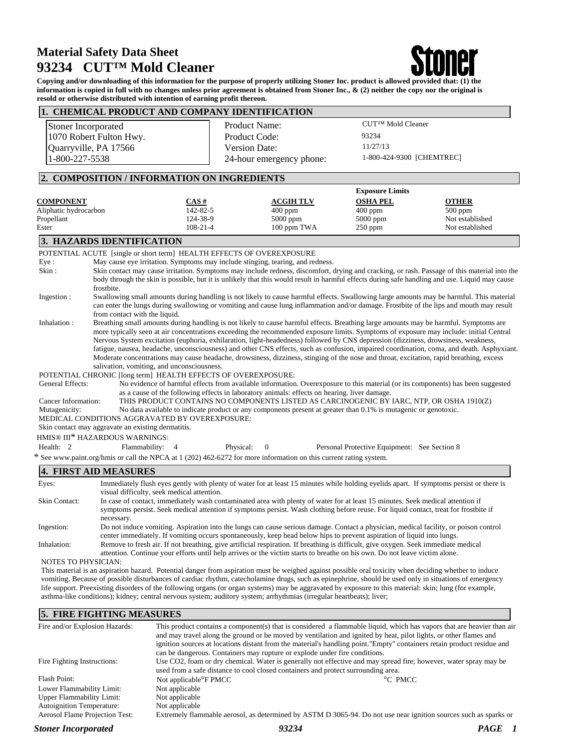# **Material Safety Data Sheet 93234 CUT™ Mold Cleaner**



**Copying and/or downloading of this information for the purpose of properly utilizing Stoner Inc. product is allowed provided that: (1) the information is copied in full with no changes unless prior agreement is obtained from Stoner Inc., & (2) neither the copy nor the original is resold or otherwise distributed with intention of earning profit thereon.**

|                                | 1. CHEMICAL PRODUCT AND COMPANY IDENTIFICATION                                                                                                                                                                                                                               |                          |                 |                                              |                 |
|--------------------------------|------------------------------------------------------------------------------------------------------------------------------------------------------------------------------------------------------------------------------------------------------------------------------|--------------------------|-----------------|----------------------------------------------|-----------------|
| Stoner Incorporated            |                                                                                                                                                                                                                                                                              | Product Name:            |                 | CUT™ Mold Cleaner                            |                 |
| 1070 Robert Fulton Hwy.        |                                                                                                                                                                                                                                                                              | Product Code:            |                 | 93234                                        |                 |
| Quarryville, PA 17566          |                                                                                                                                                                                                                                                                              | Version Date:            | 11/27/13        |                                              |                 |
| 1-800-227-5538                 |                                                                                                                                                                                                                                                                              | 24-hour emergency phone: |                 | 1-800-424-9300 [CHEMTREC]                    |                 |
|                                | 2. COMPOSITION / INFORMATION ON INGREDIENTS                                                                                                                                                                                                                                  |                          |                 |                                              |                 |
|                                |                                                                                                                                                                                                                                                                              |                          |                 | <b>Exposure Limits</b>                       |                 |
| <b>COMPONENT</b>               | CAS#                                                                                                                                                                                                                                                                         | <b>ACGIH TLV</b>         | <b>OSHA PEL</b> |                                              | <b>OTHER</b>    |
| Aliphatic hydrocarbon          | 142-82-5                                                                                                                                                                                                                                                                     | $400$ ppm                | $400$ ppm       |                                              | 500 ppm         |
| Propellant                     | 124-38-9                                                                                                                                                                                                                                                                     | 5000 ppm                 | 5000 ppm        |                                              | Not established |
| Ester                          | 108-21-4                                                                                                                                                                                                                                                                     | 100 ppm TWA              | 250 ppm         |                                              | Not established |
| 3. HAZARDS IDENTIFICATION      |                                                                                                                                                                                                                                                                              |                          |                 |                                              |                 |
|                                | POTENTIAL ACUTE [single or short term] HEALTH EFFECTS OF OVEREXPOSURE                                                                                                                                                                                                        |                          |                 |                                              |                 |
| Eye:                           | May cause eye irritation. Symptoms may include stinging, tearing, and redness.                                                                                                                                                                                               |                          |                 |                                              |                 |
| Skin:                          | Skin contact may cause irritation. Symptoms may include redness, discomfort, drying and cracking, or rash. Passage of this material into the                                                                                                                                 |                          |                 |                                              |                 |
|                                | body through the skin is possible, but it is unlikely that this would result in harmful effects during safe handling and use. Liquid may cause                                                                                                                               |                          |                 |                                              |                 |
| frostbite.                     |                                                                                                                                                                                                                                                                              |                          |                 |                                              |                 |
| Ingestion:                     | Swallowing small amounts during handling is not likely to cause harmful effects. Swallowing large amounts may be harmful. This material                                                                                                                                      |                          |                 |                                              |                 |
|                                | can enter the lungs during swallowing or vomiting and cause lung inflammation and/or damage. Frostbite of the lips and mouth may result                                                                                                                                      |                          |                 |                                              |                 |
| Inhalation:                    | from contact with the liquid.<br>Breathing small amounts during handling is not likely to cause harmful effects. Breathing large amounts may be harmful. Symptoms are                                                                                                        |                          |                 |                                              |                 |
|                                | more typically seen at air concentrations exceeding the recommended exposure limits. Symptoms of exposure may include: initial Central                                                                                                                                       |                          |                 |                                              |                 |
|                                | Nervous System excitation (euphoria, exhilaration, light-headedness) followed by CNS depression (dizziness, drowsiness, weakness,                                                                                                                                            |                          |                 |                                              |                 |
|                                | fatigue, nausea, headache, unconsciousness) and other CNS effects, such as confusion, impaired coordination, coma, and death. Asphyxiant.                                                                                                                                    |                          |                 |                                              |                 |
|                                | Moderate concentrations may cause headache, drowsiness, dizziness, stinging of the nose and throat, excitation, rapid breathing, excess                                                                                                                                      |                          |                 |                                              |                 |
|                                | salivation, vomiting, and unconsciousness.                                                                                                                                                                                                                                   |                          |                 |                                              |                 |
|                                | POTENTIAL CHRONIC [long term] HEALTH EFFECTS OF OVEREXPOSURE:                                                                                                                                                                                                                |                          |                 |                                              |                 |
| General Effects:               | No evidence of harmful effects from available information. Overexposure to this material (or its components) has been suggested                                                                                                                                              |                          |                 |                                              |                 |
|                                | as a cause of the following effects in laboratory animals: effects on hearing. liver damage.                                                                                                                                                                                 |                          |                 |                                              |                 |
| Cancer Information:            | THIS PRODUCT CONTAINS NO COMPONENTS LISTED AS CARCINOGENIC BY IARC, NTP, OR OSHA 1910(Z)                                                                                                                                                                                     |                          |                 |                                              |                 |
| Mutagenicity:                  | No data available to indicate product or any components present at greater than 0.1% is mutagenic or genotoxic.                                                                                                                                                              |                          |                 |                                              |                 |
|                                | MEDICAL CONDITIONS AGGRAVATED BY OVEREXPOSURE:                                                                                                                                                                                                                               |                          |                 |                                              |                 |
|                                | Skin contact may aggravate an existing dermatitis.                                                                                                                                                                                                                           |                          |                 |                                              |                 |
| HMIS® III* HAZARDOUS WARNINGS: |                                                                                                                                                                                                                                                                              |                          |                 |                                              |                 |
| Health: 2                      | Flammability: 4                                                                                                                                                                                                                                                              | Physical:<br>$\theta$    |                 | Personal Protective Equipment: See Section 8 |                 |
|                                | * See www.paint.org/hmis or call the NPCA at 1 (202) 462-6272 for more information on this current rating system.                                                                                                                                                            |                          |                 |                                              |                 |
| <b>4. FIRST AID MEASURES</b>   |                                                                                                                                                                                                                                                                              |                          |                 |                                              |                 |
| Eyes:                          | Immediately flush eyes gently with plenty of water for at least 15 minutes while holding eyelids apart. If symptoms persist or there is                                                                                                                                      |                          |                 |                                              |                 |
|                                | visual difficulty, seek medical attention.                                                                                                                                                                                                                                   |                          |                 |                                              |                 |
| <b>Skin Contact:</b>           | In case of contact, immediately wash contaminated area with plenty of water for at least 15 minutes. Seek medical attention if<br>computance paraiet. Caels madical etteration if computance paraiet. Week algebius hafang rayes. Ear liquid gantaat, tract for fracthite if |                          |                 |                                              |                 |

symptoms persist. Seek medical attention if symptoms persist. Wash clothing before reuse. For liquid contact, treat for frostbite if necessary. Ingestion: Do not induce vomiting. Aspiration into the lungs can cause serious damage. Contact a physician, medical facility, or poison control

center immediately. If vomiting occurs spontaneously, keep head below hips to prevent aspiration of liquid into lungs. Inhalation: Remove to fresh air. If not breathing, give artificial respiration. If breathing is difficult, give oxygen. Seek immediate medical attention. Continue your efforts until help arrives or the victim starts to breathe on his own. Do not leave victim alone.

NOTES TO PHYSICIAN:

This material is an aspiration hazard. Potential danger from aspiration must be weighed against possible oral toxicity when deciding whether to induce vomiting. Because of possible disturbances of cardiac rhythm, catecholamine drugs, such as epinephrine, should be used only in situations of emergency life support. Preexisting disorders of the following organs (or organ systems) may be aggravated by exposure to this material: skin; lung (for example, asthma-like conditions); kidney; central nervous system; auditory system; arrhythmias (irregular heartbeats); liver;

### **5. FIRE FIGHTING MEASURES**

| Fire and/or Explosion Hazards:        | This product contains a component(s) that is considered a flammable liquid, which has vapors that are heavier than air<br>and may travel along the ground or be moved by ventilation and ignited by heat, pilot lights, or other flames and<br>ignition sources at locations distant from the material's handling point."Empty" containers retain product residue and<br>can be dangerous. Containers may rupture or explode under fire conditions. |         |  |
|---------------------------------------|-----------------------------------------------------------------------------------------------------------------------------------------------------------------------------------------------------------------------------------------------------------------------------------------------------------------------------------------------------------------------------------------------------------------------------------------------------|---------|--|
| Fire Fighting Instructions:           | Use CO2, foam or dry chemical. Water is generally not effective and may spread fire; however, water spray may be<br>used from a safe distance to cool closed containers and protect surrounding area.                                                                                                                                                                                                                                               |         |  |
| Flash Point:                          | Not applicable <sup>o</sup> F PMCC                                                                                                                                                                                                                                                                                                                                                                                                                  | °C PMCC |  |
| Lower Flammability Limit:             | Not applicable                                                                                                                                                                                                                                                                                                                                                                                                                                      |         |  |
| <b>Upper Flammability Limit:</b>      | Not applicable                                                                                                                                                                                                                                                                                                                                                                                                                                      |         |  |
| <b>Autoignition Temperature:</b>      | Not applicable                                                                                                                                                                                                                                                                                                                                                                                                                                      |         |  |
| <b>Aerosol Flame Projection Test:</b> | Extremely flammable aerosol, as determined by ASTM D 3065-94. Do not use near ignition sources such as sparks or                                                                                                                                                                                                                                                                                                                                    |         |  |
| <b>Stoner Incorporated</b>            | 93234                                                                                                                                                                                                                                                                                                                                                                                                                                               | PAGE    |  |